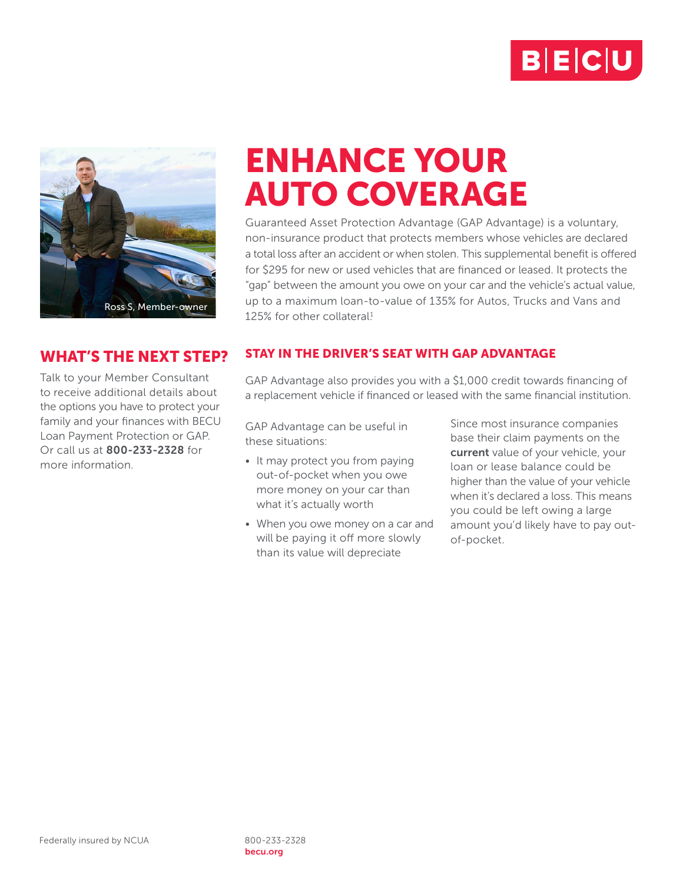



## WHAT'S THE NEXT STEP?

Talk to your Member Consultant to receive additional details about the options you have to protect your family and your finances with BECU Loan Payment Protection or GAP. Or call us at 800-233-2328 for more information.

## ENHANCE YOUR AUTO COVERAGE

Guaranteed Asset Protection Advantage (GAP Advantage) is a voluntary, non-insurance product that protects members whose vehicles are declared a total loss after an accident or when stolen. This supplemental benefit is offered for \$295 for new or used vehicles that are financed or leased. It protects the "gap" between the amount you owe on your car and the vehicle's actual value, up to a maximum loan-to-value of 135% for Autos, Trucks and Vans and 125% for other collateral<sup>1</sup>

## STAY IN THE DRIVER'S SEAT WITH GAP ADVANTAGE

GAP Advantage also provides you with a \$1,000 credit towards financing of a replacement vehicle if financed or leased with the same financial institution.

GAP Advantage can be useful in these situations:

- It may protect you from paying out-of-pocket when you owe more money on your car than what it's actually worth
- When you owe money on a car and will be paying it off more slowly than its value will depreciate

Since most insurance companies base their claim payments on the current value of your vehicle, your loan or lease balance could be higher than the value of your vehicle when it's declared a loss. This means you could be left owing a large amount you'd likely have to pay outof-pocket.